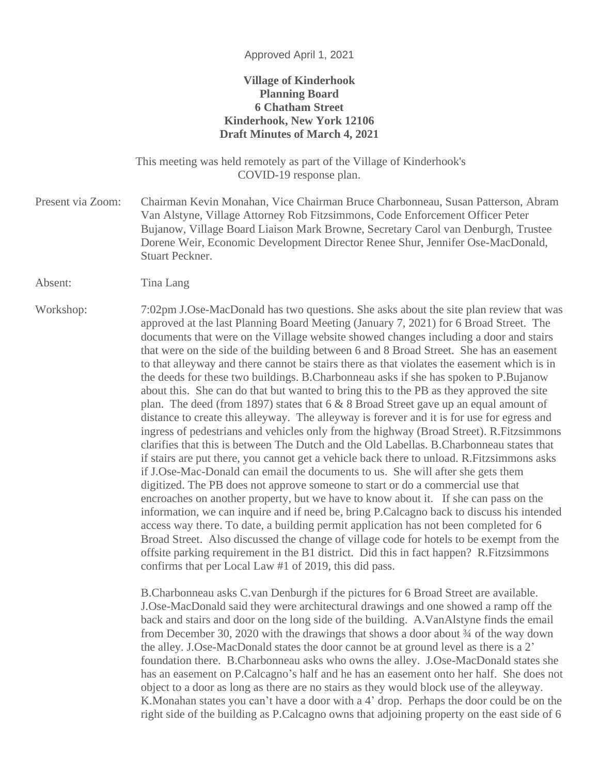## Approved April 1, 2021

## **Village of Kinderhook Planning Board 6 Chatham Street Kinderhook, New York 12106 Draft Minutes of March 4, 2021**

This meeting was held remotely as part of the Village of Kinderhook's COVID-19 response plan.

Present via Zoom: Chairman Kevin Monahan, Vice Chairman Bruce Charbonneau, Susan Patterson, Abram Van Alstyne, Village Attorney Rob Fitzsimmons, Code Enforcement Officer Peter Bujanow, Village Board Liaison Mark Browne, Secretary Carol van Denburgh, Trustee Dorene Weir, Economic Development Director Renee Shur, Jennifer Ose-MacDonald, Stuart Peckner.

Absent: Tina Lang

Workshop: 7:02pm J.Ose-MacDonald has two questions. She asks about the site plan review that was approved at the last Planning Board Meeting (January 7, 2021) for 6 Broad Street. The documents that were on the Village website showed changes including a door and stairs that were on the side of the building between 6 and 8 Broad Street. She has an easement to that alleyway and there cannot be stairs there as that violates the easement which is in the deeds for these two buildings. B.Charbonneau asks if she has spoken to P.Bujanow about this. She can do that but wanted to bring this to the PB as they approved the site plan. The deed (from 1897) states that 6 & 8 Broad Street gave up an equal amount of distance to create this alleyway. The alleyway is forever and it is for use for egress and ingress of pedestrians and vehicles only from the highway (Broad Street). R.Fitzsimmons clarifies that this is between The Dutch and the Old Labellas. B.Charbonneau states that if stairs are put there, you cannot get a vehicle back there to unload. R.Fitzsimmons asks if J.Ose-Mac-Donald can email the documents to us. She will after she gets them digitized. The PB does not approve someone to start or do a commercial use that encroaches on another property, but we have to know about it. If she can pass on the information, we can inquire and if need be, bring P.Calcagno back to discuss his intended access way there. To date, a building permit application has not been completed for 6 Broad Street. Also discussed the change of village code for hotels to be exempt from the offsite parking requirement in the B1 district. Did this in fact happen? R.Fitzsimmons confirms that per Local Law #1 of 2019, this did pass.

> B.Charbonneau asks C.van Denburgh if the pictures for 6 Broad Street are available. J.Ose-MacDonald said they were architectural drawings and one showed a ramp off the back and stairs and door on the long side of the building. A.VanAlstyne finds the email from December 30, 2020 with the drawings that shows a door about  $\frac{3}{4}$  of the way down the alley. J.Ose-MacDonald states the door cannot be at ground level as there is a 2' foundation there. B.Charbonneau asks who owns the alley. J.Ose-MacDonald states she has an easement on P.Calcagno's half and he has an easement onto her half. She does not object to a door as long as there are no stairs as they would block use of the alleyway. K.Monahan states you can't have a door with a 4' drop. Perhaps the door could be on the right side of the building as P.Calcagno owns that adjoining property on the east side of 6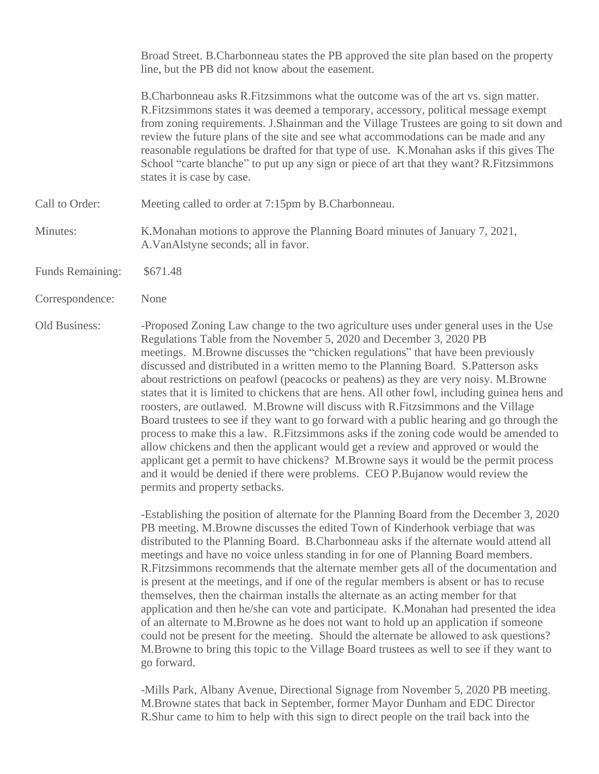Broad Street. B.Charbonneau states the PB approved the site plan based on the property line, but the PB did not know about the easement.

B.Charbonneau asks R.Fitzsimmons what the outcome was of the art vs. sign matter. R.Fitzsimmons states it was deemed a temporary, accessory, political message exempt from zoning requirements. J.Shainman and the Village Trustees are going to sit down and review the future plans of the site and see what accommodations can be made and any reasonable regulations be drafted for that type of use. K.Monahan asks if this gives The School "carte blanche" to put up any sign or piece of art that they want? R.Fitzsimmons states it is case by case.

- Call to Order: Meeting called to order at 7:15pm by B.Charbonneau.
- Minutes: K.Monahan motions to approve the Planning Board minutes of January 7, 2021, A.VanAlstyne seconds; all in favor.
- Funds Remaining: \$671.48
- Correspondence: None

Old Business: Froposed Zoning Law change to the two agriculture uses under general uses in the Use Regulations Table from the November 5, 2020 and December 3, 2020 PB meetings. M.Browne discusses the "chicken regulations" that have been previously discussed and distributed in a written memo to the Planning Board. S.Patterson asks about restrictions on peafowl (peacocks or peahens) as they are very noisy. M.Browne states that it is limited to chickens that are hens. All other fowl, including guinea hens and roosters, are outlawed. M.Browne will discuss with R.Fitzsimmons and the Village Board trustees to see if they want to go forward with a public hearing and go through the process to make this a law. R.Fitzsimmons asks if the zoning code would be amended to allow chickens and then the applicant would get a review and approved or would the applicant get a permit to have chickens? M.Browne says it would be the permit process and it would be denied if there were problems. CEO P.Bujanow would review the permits and property setbacks.

> -Establishing the position of alternate for the Planning Board from the December 3, 2020 PB meeting. M.Browne discusses the edited Town of Kinderhook verbiage that was distributed to the Planning Board. B.Charbonneau asks if the alternate would attend all meetings and have no voice unless standing in for one of Planning Board members. R.Fitzsimmons recommends that the alternate member gets all of the documentation and is present at the meetings, and if one of the regular members is absent or has to recuse themselves, then the chairman installs the alternate as an acting member for that application and then he/she can vote and participate. K.Monahan had presented the idea of an alternate to M.Browne as he does not want to hold up an application if someone could not be present for the meeting. Should the alternate be allowed to ask questions? M.Browne to bring this topic to the Village Board trustees as well to see if they want to go forward.

-Mills Park, Albany Avenue, Directional Signage from November 5, 2020 PB meeting. M.Browne states that back in September, former Mayor Dunham and EDC Director R.Shur came to him to help with this sign to direct people on the trail back into the